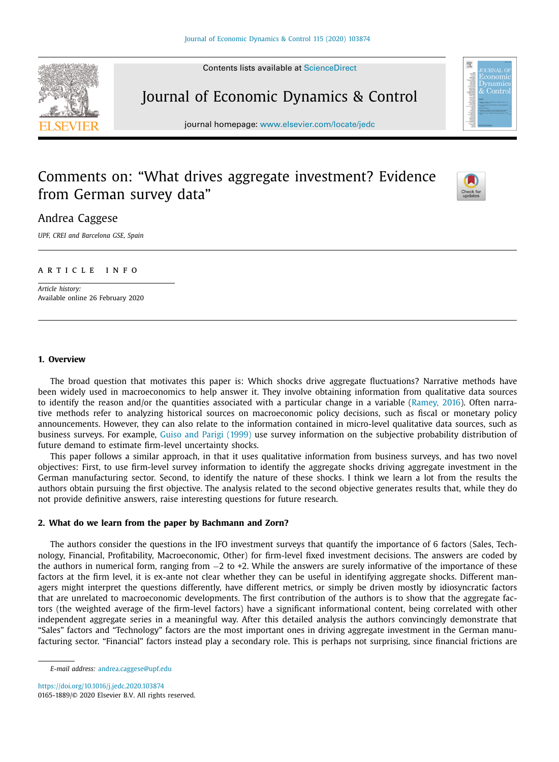Contents lists available at [ScienceDirect](http://www.ScienceDirect.com)

# Journal of Economic Dynamics & Control

journal homepage: [www.elsevier.com/locate/jedc](http://www.elsevier.com/locate/jedc)

# Comments on: "What drives aggregate investment? Evidence from German survey data"



震

# Andrea Caggese

*UPF, CREI and Barcelona GSE, Spain*

### A R T I C L E I N E O

*Article history:* Available online 26 February 2020

### **1. Overview**

The broad question that motivates this paper is: Which shocks drive aggregate fluctuations? Narrative methods have been widely used in macroeconomics to help answer it. They involve obtaining information from qualitative data sources to identify the reason and/or the quantities associated with a particular change in a variable [\(Ramey,](#page-2-0) 2016). Often narrative methods refer to analyzing historical sources on macroeconomic policy decisions, such as fiscal or monetary policy announcements. However, they can also relate to the information contained in micro-level qualitative data sources, such as business surveys. For example, Guiso and Parigi [\(1999\)](#page-2-0) use survey information on the subjective probability distribution of future demand to estimate firm-level uncertainty shocks.

This paper follows a similar approach, in that it uses qualitative information from business surveys, and has two novel objectives: First, to use firm-level survey information to identify the aggregate shocks driving aggregate investment in the German manufacturing sector. Second, to identify the nature of these shocks. I think we learn a lot from the results the authors obtain pursuing the first objective. The analysis related to the second objective generates results that, while they do not provide definitive answers, raise interesting questions for future research.

#### **2. What do we learn from the paper by Bachmann and Zorn?**

The authors consider the questions in the IFO investment surveys that quantify the importance of 6 factors (Sales, Technology, Financial, Profitability, Macroeconomic, Other) for firm-level fixed investment decisions. The answers are coded by the authors in numerical form, ranging from −2 to +2. While the answers are surely informative of the importance of these factors at the firm level, it is ex-ante not clear whether they can be useful in identifying aggregate shocks. Different managers might interpret the questions differently, have different metrics, or simply be driven mostly by idiosyncratic factors that are unrelated to macroeconomic developments. The first contribution of the authors is to show that the aggregate factors (the weighted average of the firm-level factors) have a significant informational content, being correlated with other independent aggregate series in a meaningful way. After this detailed analysis the authors convincingly demonstrate that "Sales" factors and "Technology" factors are the most important ones in driving aggregate investment in the German manufacturing sector. "Financial" factors instead play a secondary role. This is perhaps not surprising, since financial frictions are

<https://doi.org/10.1016/j.jedc.2020.103874> 0165-1889/© 2020 Elsevier B.V. All rights reserved.



*E-mail address:* [andrea.caggese@upf.edu](mailto:andrea.caggese@upf.edu)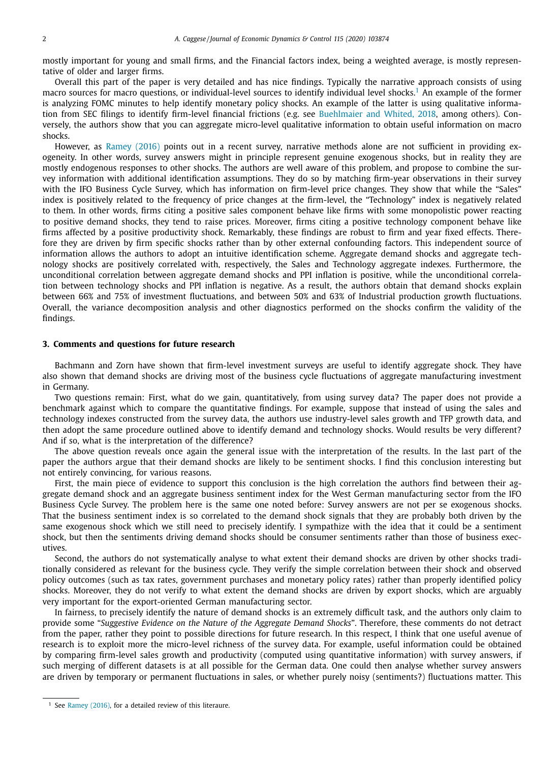mostly important for young and small firms, and the Financial factors index, being a weighted average, is mostly representative of older and larger firms.

Overall this part of the paper is very detailed and has nice findings. Typically the narrative approach consists of using macro sources for macro questions, or individual-level sources to identify individual level shocks.<sup>1</sup> An example of the former is analyzing FOMC minutes to help identify monetary policy shocks. An example of the latter is using qualitative information from SEC filings to identify firm-level financial frictions (e.g. see [Buehlmaier](#page-2-0) and Whited, 2018, among others). Conversely, the authors show that you can aggregate micro-level qualitative information to obtain useful information on macro shocks.

However, as [Ramey](#page-2-0) (2016) points out in a recent survey, narrative methods alone are not sufficient in providing exogeneity. In other words, survey answers might in principle represent genuine exogenous shocks, but in reality they are mostly endogenous responses to other shocks. The authors are well aware of this problem, and propose to combine the survey information with additional identification assumptions. They do so by matching firm-year observations in their survey with the IFO Business Cycle Survey, which has information on firm-level price changes. They show that while the "Sales" index is positively related to the frequency of price changes at the firm-level, the "Technology" index is negatively related to them. In other words, firms citing a positive sales component behave like firms with some monopolistic power reacting to positive demand shocks, they tend to raise prices. Moreover, firms citing a positive technology component behave like firms affected by a positive productivity shock. Remarkably, these findings are robust to firm and year fixed effects. Therefore they are driven by firm specific shocks rather than by other external confounding factors. This independent source of information allows the authors to adopt an intuitive identification scheme. Aggregate demand shocks and aggregate technology shocks are positively correlated with, respectively, the Sales and Technology aggregate indexes. Furthermore, the unconditional correlation between aggregate demand shocks and PPI inflation is positive, while the unconditional correlation between technology shocks and PPI inflation is negative. As a result, the authors obtain that demand shocks explain between 66% and 75% of investment fluctuations, and between 50% and 63% of Industrial production growth fluctuations. Overall, the variance decomposition analysis and other diagnostics performed on the shocks confirm the validity of the findings.

#### **3. Comments and questions for future research**

Bachmann and Zorn have shown that firm-level investment surveys are useful to identify aggregate shock. They have also shown that demand shocks are driving most of the business cycle fluctuations of aggregate manufacturing investment in Germany.

Two questions remain: First, what do we gain, quantitatively, from using survey data? The paper does not provide a benchmark against which to compare the quantitative findings. For example, suppose that instead of using the sales and technology indexes constructed from the survey data, the authors use industry-level sales growth and TFP growth data, and then adopt the same procedure outlined above to identify demand and technology shocks. Would results be very different? And if so, what is the interpretation of the difference?

The above question reveals once again the general issue with the interpretation of the results. In the last part of the paper the authors argue that their demand shocks are likely to be sentiment shocks. I find this conclusion interesting but not entirely convincing, for various reasons.

First, the main piece of evidence to support this conclusion is the high correlation the authors find between their aggregate demand shock and an aggregate business sentiment index for the West German manufacturing sector from the IFO Business Cycle Survey. The problem here is the same one noted before: Survey answers are not per se exogenous shocks. That the business sentiment index is so correlated to the demand shock signals that they are probably both driven by the same exogenous shock which we still need to precisely identify. I sympathize with the idea that it could be a sentiment shock, but then the sentiments driving demand shocks should be consumer sentiments rather than those of business executives.

Second, the authors do not systematically analyse to what extent their demand shocks are driven by other shocks traditionally considered as relevant for the business cycle. They verify the simple correlation between their shock and observed policy outcomes (such as tax rates, government purchases and monetary policy rates) rather than properly identified policy shocks. Moreover, they do not verify to what extent the demand shocks are driven by export shocks, which are arguably very important for the export-oriented German manufacturing sector.

In fairness, to precisely identify the nature of demand shocks is an extremely difficult task, and the authors only claim to provide some "*Suggestive Evidence on the Nature of the Aggregate Demand Shocks*". Therefore, these comments do not detract from the paper, rather they point to possible directions for future research. In this respect, I think that one useful avenue of research is to exploit more the micro-level richness of the survey data. For example, useful information could be obtained by comparing firm-level sales growth and productivity (computed using quantitative information) with survey answers, if such merging of different datasets is at all possible for the German data. One could then analyse whether survey answers are driven by temporary or permanent fluctuations in sales, or whether purely noisy (sentiments?) fluctuations matter. This

<sup>&</sup>lt;sup>1</sup> See [Ramey](#page-2-0) (2016), for a detailed review of this literaure.